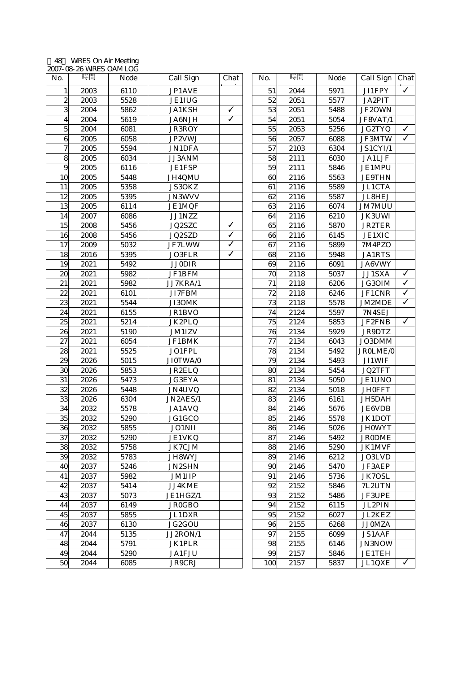## 48 WiRES On Air Meeting 2007-08-26 WiRES OAM LOG

| No.                     | 時間   | <b>Node</b> | <b>Call Sign</b> | Chat                    | No. | 時間   | <b>Node</b> | Call Sign Chat |              |
|-------------------------|------|-------------|------------------|-------------------------|-----|------|-------------|----------------|--------------|
| 1                       | 2003 | 6110        | JP1AVE           |                         | 51  | 2044 | 5971        | <b>JI1FPY</b>  | $\checkmark$ |
| $\boldsymbol{2}$        | 2003 | 5528        | <b>JE1IUG</b>    |                         | 52  | 2051 | 5577        | JA2PIT         |              |
| 3                       | 2004 | 5862        | <b>JA1KSH</b>    | ✓                       | 53  | 2051 | 5488        | JF2OWN         |              |
| $\overline{\mathbf{4}}$ | 2004 | 5619        | JA6NJH           | $\overline{\checkmark}$ | 54  | 2051 | 5054        | JF8VAT/1       |              |
| $\mathbf 5$             | 2004 | 6081        | <b>JR3ROY</b>    |                         | 55  | 2053 | 5256        | JG2TYQ         | $\checkmark$ |
| 6                       | 2005 | 6058        | JP2VWJ           |                         | 56  | 2057 | 6088        | JF3MTW         | $\checkmark$ |
| $\boldsymbol{7}$        | 2005 | 5594        | <b>JN1DFA</b>    |                         | 57  | 2103 | 6304        | JS1CYI/1       |              |
| 8                       | 2005 | 6034        | <b>JJ3ANM</b>    |                         | 58  | 2111 | 6030        | <b>JA1LJF</b>  |              |
| $\boldsymbol{9}$        | 2005 | 6116        | <b>JE1FSP</b>    |                         | 59  | 2111 | 5846        | <b>JE1MPU</b>  |              |
| 10                      | 2005 | 5448        | <b>JH4QMU</b>    |                         | 60  | 2116 | 5563        | <b>JE9THN</b>  |              |
| 11                      | 2005 | 5358        | JS30KZ           |                         | 61  | 2116 | 5589        | <b>JL1CTA</b>  |              |
| 12                      | 2005 | 5395        | <b>JN3WVV</b>    |                         | 62  | 2116 | 5587        | JL8HEJ         |              |
| 13                      | 2005 | 6114        | <b>JE1MQF</b>    |                         | 63  | 2116 | 6074        | <b>JM7MUU</b>  |              |
| 14                      | 2007 | 6086        | JJ1NZZ           |                         | 64  | 2116 | 6210        | JK3UWI         |              |
| 15                      | 2008 | 5456        | JQ2SZC           | √                       | 65  | 2116 | 5870        | <b>JR2TER</b>  |              |
| 16                      | 2008 | 5456        | JQ2SZD           | ✓                       | 66  | 2116 | 6145        | <b>JE1XIC</b>  |              |
| 17                      | 2009 | 5032        | JF7LWW           | ✓                       | 67  | 2116 | 5899        | 7M4PZO         |              |
| 18                      | 2016 | 5395        | JO3FLR           | ✓                       | 68  | 2116 | 5948        | <b>JA1RTS</b>  |              |
| 19                      | 2021 | 5492        | <b>JJ0DIR</b>    |                         | 69  | 2116 | 6091        | JA6VWY         |              |
| 20                      | 2021 | 5982        | JF1BFM           |                         | 70  | 2118 | 5037        | JJ1SXA         | $\checkmark$ |
| 21                      | 2021 | 5982        | JJ7KRA/1         |                         | 71  | 2118 | 6206        | JG30IM         | $\checkmark$ |
| 22                      | 2021 | 6101        | JI7FBM           |                         | 72  | 2118 | 6246        | <b>JF1CNR</b>  | $\checkmark$ |
| 23                      | 2021 | 5544        | JI3OMK           |                         | 73  | 2118 | 5578        | JM2MDE         | $\checkmark$ |
| 24                      | 2021 | 6155        | JR1BVO           |                         | 74  | 2124 | 5597        | 7N4SEJ         |              |
| 25                      | 2021 | 5214        | JK2PLQ           |                         | 75  | 2124 | 5853        | JF2FNB         | $\checkmark$ |
| 26                      | 2021 | 5190        | <b>JM1IZV</b>    |                         | 76  | 2134 | 5929        | JR9DTZ         |              |
| 27                      | 2021 | 6054        | JF1BMK           |                         | 77  | 2134 | 6043        | JO3DMM         |              |
| 28                      | 2021 | 5525        | JO1FPL           |                         | 78  | 2134 | 5492        | JR0LME/0       |              |
| 29                      | 2026 | 5015        | JI0TWA/0         |                         | 79  | 2134 | 5493        | JI1WIF         |              |
| 30                      | 2026 | 5853        | JR2ELQ           |                         | 80  | 2134 | 5454        | JQ2TFT         |              |
| 31                      | 2026 | 5473        | <b>JG3EYA</b>    |                         | 81  | 2134 | 5050        | JE1UNO         |              |
| 32                      | 2026 | 5448        | JN4UVQ           |                         | 82  | 2134 | 5018        | <b>JH0FFT</b>  |              |
| 33                      | 2026 | 6304        | JN2AES/1         |                         | 83  | 2146 | 6161        | JH5DAH         |              |
| 34                      | 2032 | 5578        | JA1AVQ           |                         | 84  | 2146 | 5676        | JE6VDB         |              |
| 35                      | 2032 | 5290        | JG1GCO           |                         | 85  | 2146 | 5578        | JK1DOT         |              |
| 36                      | 2032 | 5855        | <b>JO1NII</b>    |                         | 86  | 2146 | 5026        | <b>JH0WYT</b>  |              |
| 37                      | 2032 | 5290        | <b>JE1VKQ</b>    |                         | 87  | 2146 | 5492        | <b>JR0DME</b>  |              |
| 38                      | 2032 | 5758        | JK7CJM           |                         | 88  | 2146 | 5290        | <b>JK1MVF</b>  |              |
| 39                      | 2032 | 5783        | JH8WYJ           |                         | 89  | 2146 | 6212        | JO3LVD         |              |
| 40                      | 2037 | 5246        | <b>JN2SHN</b>    |                         | 90  | 2146 | 5470        | JF3AEP         |              |
| 41                      | 2037 | 5982        | <b>JM1IIP</b>    |                         | 91  | 2146 | 5736        | JK7OSL         |              |
| 42                      | 2037 | 5414        | JJ4KME           |                         | 92  | 2152 | 5846        | 7L2UTN         |              |
| 43                      | 2037 | 5073        | JE1HGZ/1         |                         | 93  | 2152 | 5486        | <b>JF3UPE</b>  |              |
| 44                      | 2037 | 6149        | <b>JR0GBO</b>    |                         | 94  | 2152 | 6115        | JL2PIN         |              |
| 45                      | 2037 | 5855        | JL1DXR           |                         | 95  | 2152 | 6027        | JL2KEZ         |              |
| 46                      | 2037 | 6130        | JG2GOU           |                         | 96  | 2155 | 6268        | <b>JJ0MZA</b>  |              |
| 47                      | 2044 | 5135        | JJ2RON/1         |                         | 97  | 2155 | 6099        | <b>JS1AAF</b>  |              |
| 48                      | 2044 | 5791        | <b>JK1PLR</b>    |                         | 98  | 2155 | 6146        | JN3NOW         |              |
| 49                      | 2044 | 5290        | <b>JA1FJU</b>    |                         | 99  | 2157 | 5846        | <b>JE1TEH</b>  |              |
| 50                      | 2044 | 6085        | JR9CRJ           |                         | 100 | 2157 | 5837        | JL1QXE         | $\checkmark$ |